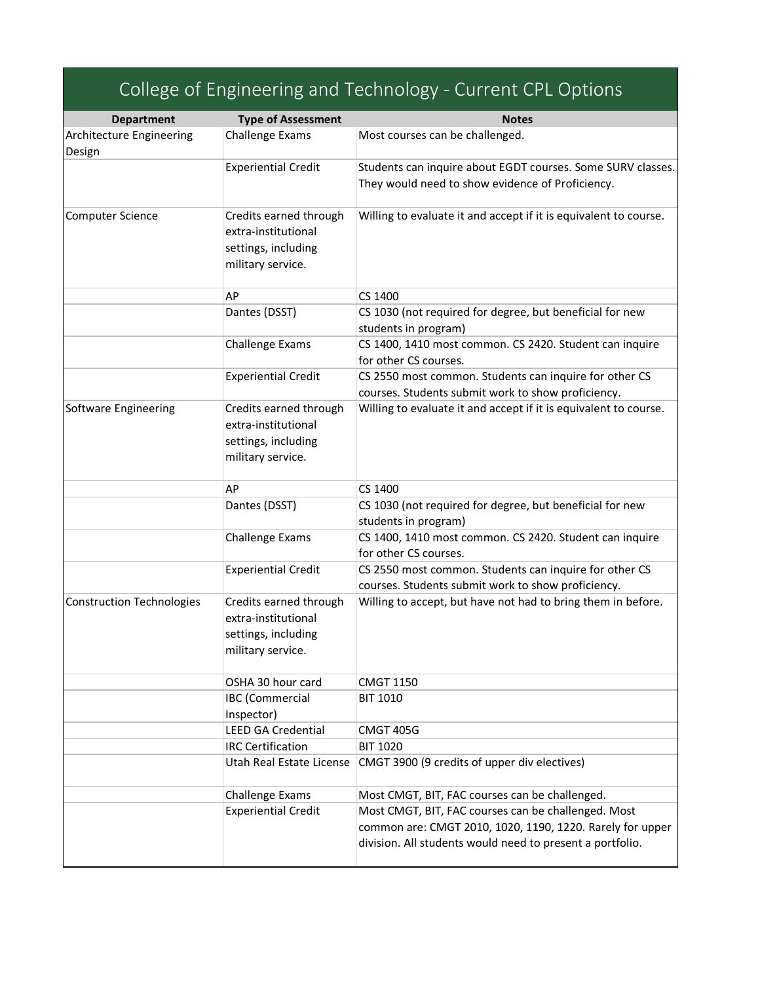| <b>Department</b>                | <b>Type of Assessment</b>                                                                 | <b>Notes</b>                                                                                                                                                                  |
|----------------------------------|-------------------------------------------------------------------------------------------|-------------------------------------------------------------------------------------------------------------------------------------------------------------------------------|
| Architecture Engineering         | <b>Challenge Exams</b>                                                                    | Most courses can be challenged.                                                                                                                                               |
| Design                           |                                                                                           |                                                                                                                                                                               |
|                                  | <b>Experiential Credit</b>                                                                | Students can inquire about EGDT courses. Some SURV classes.<br>They would need to show evidence of Proficiency.                                                               |
| Computer Science                 | Credits earned through<br>extra-institutional<br>settings, including<br>military service. | Willing to evaluate it and accept if it is equivalent to course.                                                                                                              |
|                                  | AP                                                                                        | CS 1400                                                                                                                                                                       |
|                                  | Dantes (DSST)                                                                             | CS 1030 (not required for degree, but beneficial for new                                                                                                                      |
|                                  |                                                                                           | students in program)                                                                                                                                                          |
|                                  | Challenge Exams                                                                           | CS 1400, 1410 most common. CS 2420. Student can inquire                                                                                                                       |
|                                  |                                                                                           | for other CS courses.                                                                                                                                                         |
|                                  | <b>Experiential Credit</b>                                                                | CS 2550 most common. Students can inquire for other CS                                                                                                                        |
|                                  |                                                                                           | courses. Students submit work to show proficiency.                                                                                                                            |
| Software Engineering             | Credits earned through<br>extra-institutional<br>settings, including<br>military service. | Willing to evaluate it and accept if it is equivalent to course.                                                                                                              |
|                                  | AP                                                                                        | CS 1400                                                                                                                                                                       |
|                                  | Dantes (DSST)                                                                             | CS 1030 (not required for degree, but beneficial for new<br>students in program)                                                                                              |
|                                  | Challenge Exams                                                                           | CS 1400, 1410 most common. CS 2420. Student can inquire<br>for other CS courses.                                                                                              |
|                                  | <b>Experiential Credit</b>                                                                | CS 2550 most common. Students can inquire for other CS<br>courses. Students submit work to show proficiency.                                                                  |
| <b>Construction Technologies</b> | Credits earned through<br>extra-institutional<br>settings, including<br>military service. | Willing to accept, but have not had to bring them in before.                                                                                                                  |
|                                  | OSHA 30 hour card                                                                         | <b>CMGT 1150</b>                                                                                                                                                              |
|                                  | <b>IBC</b> (Commercial<br>Inspector)                                                      | <b>BIT 1010</b>                                                                                                                                                               |
|                                  | <b>LEED GA Credential</b>                                                                 | <b>CMGT 405G</b>                                                                                                                                                              |
|                                  | <b>IRC Certification</b>                                                                  | <b>BIT 1020</b>                                                                                                                                                               |
|                                  | Utah Real Estate License                                                                  | CMGT 3900 (9 credits of upper div electives)                                                                                                                                  |
|                                  | Challenge Exams                                                                           | Most CMGT, BIT, FAC courses can be challenged.                                                                                                                                |
|                                  | <b>Experiential Credit</b>                                                                | Most CMGT, BIT, FAC courses can be challenged. Most<br>common are: CMGT 2010, 1020, 1190, 1220. Rarely for upper<br>division. All students would need to present a portfolio. |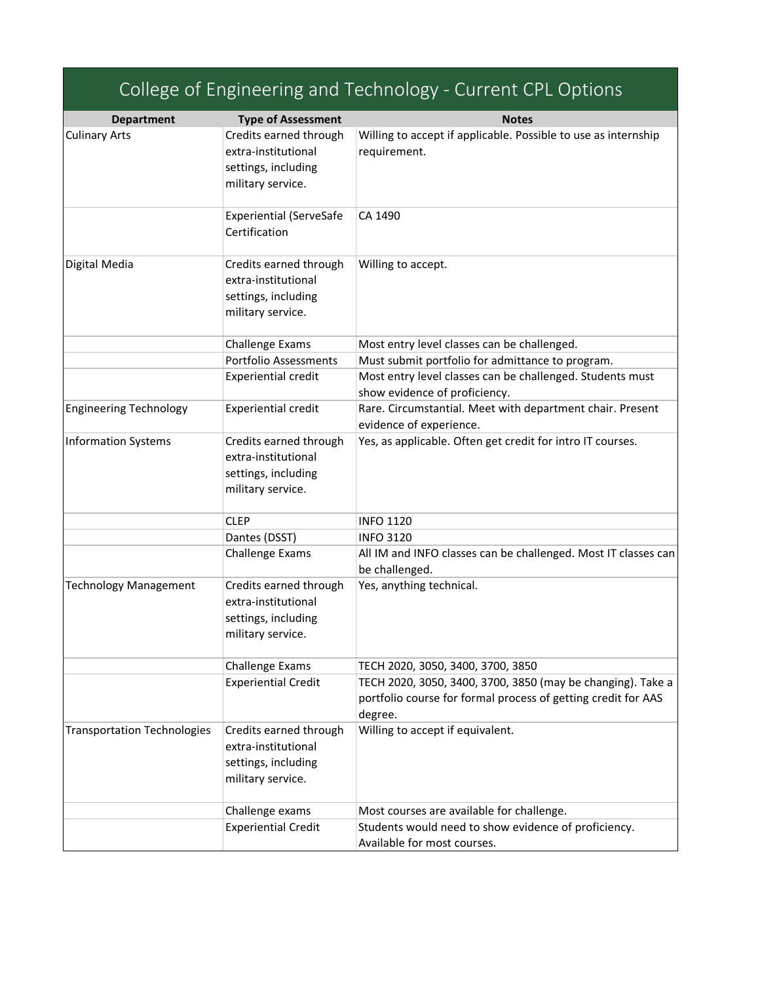|                                    |                                                                                           | College of Engineering and Technology - Current CPL Options                                                                                    |
|------------------------------------|-------------------------------------------------------------------------------------------|------------------------------------------------------------------------------------------------------------------------------------------------|
| <b>Department</b>                  | <b>Type of Assessment</b>                                                                 | <b>Notes</b>                                                                                                                                   |
| <b>Culinary Arts</b>               | Credits earned through<br>extra-institutional<br>settings, including<br>military service. | Willing to accept if applicable. Possible to use as internship<br>requirement.                                                                 |
|                                    | <b>Experiential (ServeSafe</b><br>Certification                                           | CA 1490                                                                                                                                        |
| Digital Media                      | Credits earned through<br>extra-institutional<br>settings, including<br>military service. | Willing to accept.                                                                                                                             |
|                                    | Challenge Exams                                                                           | Most entry level classes can be challenged.                                                                                                    |
|                                    | <b>Portfolio Assessments</b><br><b>Experiential credit</b>                                | Must submit portfolio for admittance to program.<br>Most entry level classes can be challenged. Students must<br>show evidence of proficiency. |
| <b>Engineering Technology</b>      | <b>Experiential credit</b>                                                                | Rare. Circumstantial. Meet with department chair. Present<br>evidence of experience.                                                           |
| <b>Information Systems</b>         | Credits earned through<br>extra-institutional<br>settings, including<br>military service. | Yes, as applicable. Often get credit for intro IT courses.                                                                                     |
|                                    | <b>CLEP</b>                                                                               | <b>INFO 1120</b>                                                                                                                               |
|                                    | Dantes (DSST)                                                                             | <b>INFO 3120</b>                                                                                                                               |
|                                    | Challenge Exams                                                                           | All IM and INFO classes can be challenged. Most IT classes can<br>be challenged.                                                               |
| <b>Technology Management</b>       | Credits earned through<br>extra-institutional<br>settings, including<br>military service. | Yes, anything technical.                                                                                                                       |
|                                    | Challenge Exams                                                                           | TECH 2020, 3050, 3400, 3700, 3850                                                                                                              |
|                                    | <b>Experiential Credit</b>                                                                | TECH 2020, 3050, 3400, 3700, 3850 (may be changing). Take a<br>portfolio course for formal process of getting credit for AAS<br>degree.        |
| <b>Transportation Technologies</b> | Credits earned through<br>extra-institutional<br>settings, including<br>military service. | Willing to accept if equivalent.                                                                                                               |
|                                    | Challenge exams                                                                           | Most courses are available for challenge.                                                                                                      |
|                                    | <b>Experiential Credit</b>                                                                | Students would need to show evidence of proficiency.<br>Available for most courses.                                                            |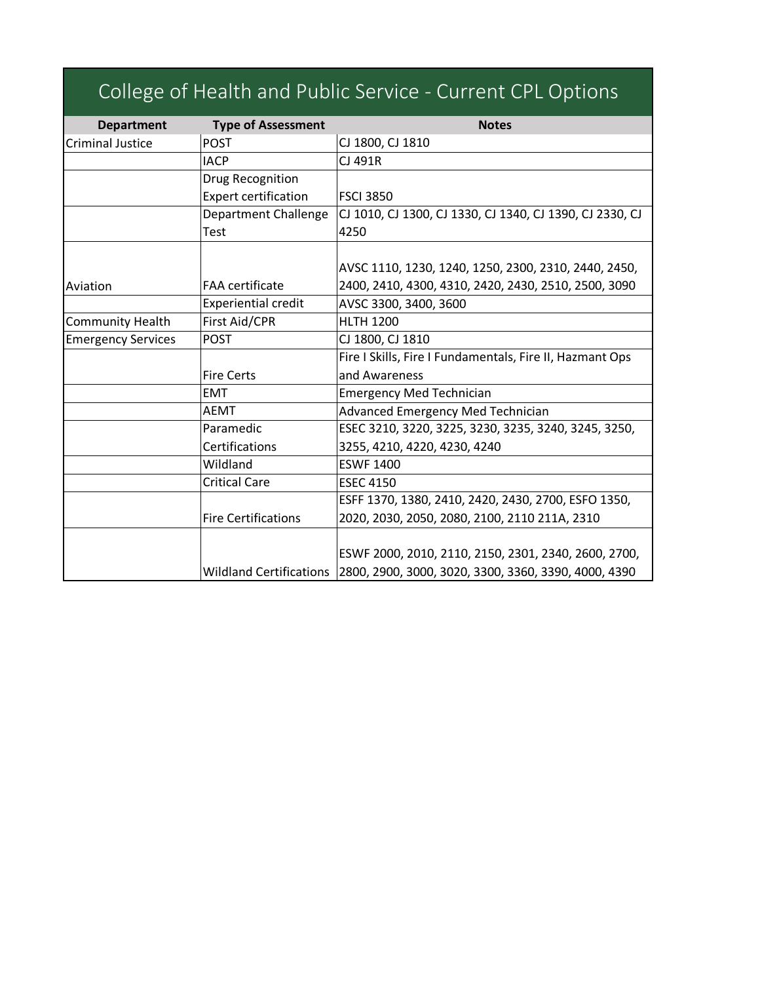|                           |                                | College of Health and Public Service - Current CPL Options |
|---------------------------|--------------------------------|------------------------------------------------------------|
| <b>Department</b>         | <b>Type of Assessment</b>      | <b>Notes</b>                                               |
| <b>Criminal Justice</b>   | <b>POST</b>                    | CJ 1800, CJ 1810                                           |
|                           | <b>IACP</b>                    | CJ 491R                                                    |
|                           | Drug Recognition               |                                                            |
|                           | <b>Expert certification</b>    | <b>FSCI 3850</b>                                           |
|                           | <b>Department Challenge</b>    | CJ 1010, CJ 1300, CJ 1330, CJ 1340, CJ 1390, CJ 2330, CJ   |
|                           | <b>Test</b>                    | 4250                                                       |
|                           |                                |                                                            |
|                           |                                | AVSC 1110, 1230, 1240, 1250, 2300, 2310, 2440, 2450,       |
| Aviation                  | <b>FAA</b> certificate         | 2400, 2410, 4300, 4310, 2420, 2430, 2510, 2500, 3090       |
|                           | <b>Experiential credit</b>     | AVSC 3300, 3400, 3600                                      |
| <b>Community Health</b>   | First Aid/CPR                  | <b>HLTH 1200</b>                                           |
| <b>Emergency Services</b> | <b>POST</b>                    | CJ 1800, CJ 1810                                           |
|                           |                                | Fire I Skills, Fire I Fundamentals, Fire II, Hazmant Ops   |
|                           | <b>Fire Certs</b>              | and Awareness                                              |
|                           | <b>EMT</b>                     | <b>Emergency Med Technician</b>                            |
|                           | <b>AEMT</b>                    | Advanced Emergency Med Technician                          |
|                           | Paramedic                      | ESEC 3210, 3220, 3225, 3230, 3235, 3240, 3245, 3250,       |
|                           | Certifications                 | 3255, 4210, 4220, 4230, 4240                               |
|                           | Wildland                       | <b>ESWF 1400</b>                                           |
|                           | <b>Critical Care</b>           | <b>ESEC 4150</b>                                           |
|                           |                                | ESFF 1370, 1380, 2410, 2420, 2430, 2700, ESFO 1350,        |
|                           | <b>Fire Certifications</b>     | 2020, 2030, 2050, 2080, 2100, 2110 211A, 2310              |
|                           |                                |                                                            |
|                           |                                | ESWF 2000, 2010, 2110, 2150, 2301, 2340, 2600, 2700,       |
|                           | <b>Wildland Certifications</b> | 2800, 2900, 3000, 3020, 3300, 3360, 3390, 4000, 4390       |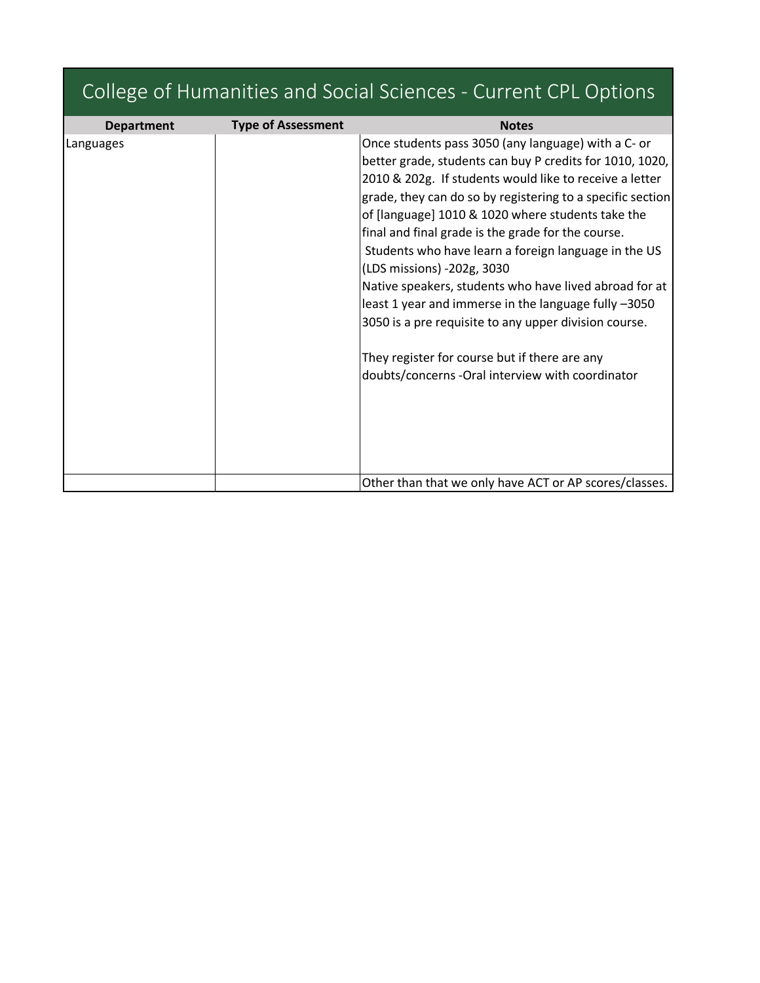| College of Humanities and Social Sciences - Current CPL Options |                           |                                                                                                                                                                                                                                                                                                                                                                                                                                                                                                                                                                                                                                                                                                                           |  |
|-----------------------------------------------------------------|---------------------------|---------------------------------------------------------------------------------------------------------------------------------------------------------------------------------------------------------------------------------------------------------------------------------------------------------------------------------------------------------------------------------------------------------------------------------------------------------------------------------------------------------------------------------------------------------------------------------------------------------------------------------------------------------------------------------------------------------------------------|--|
| <b>Department</b>                                               | <b>Type of Assessment</b> | <b>Notes</b>                                                                                                                                                                                                                                                                                                                                                                                                                                                                                                                                                                                                                                                                                                              |  |
| Languages                                                       |                           | Once students pass 3050 (any language) with a C- or<br>better grade, students can buy P credits for 1010, 1020,<br>2010 & 202g. If students would like to receive a letter<br>grade, they can do so by registering to a specific section<br>of [language] 1010 & 1020 where students take the<br>final and final grade is the grade for the course.<br>Students who have learn a foreign language in the US<br>(LDS missions) -202g, 3030<br>Native speakers, students who have lived abroad for at<br>least 1 year and immerse in the language fully -3050<br>3050 is a pre requisite to any upper division course.<br>They register for course but if there are any<br>doubts/concerns -Oral interview with coordinator |  |
|                                                                 |                           | Other than that we only have ACT or AP scores/classes.                                                                                                                                                                                                                                                                                                                                                                                                                                                                                                                                                                                                                                                                    |  |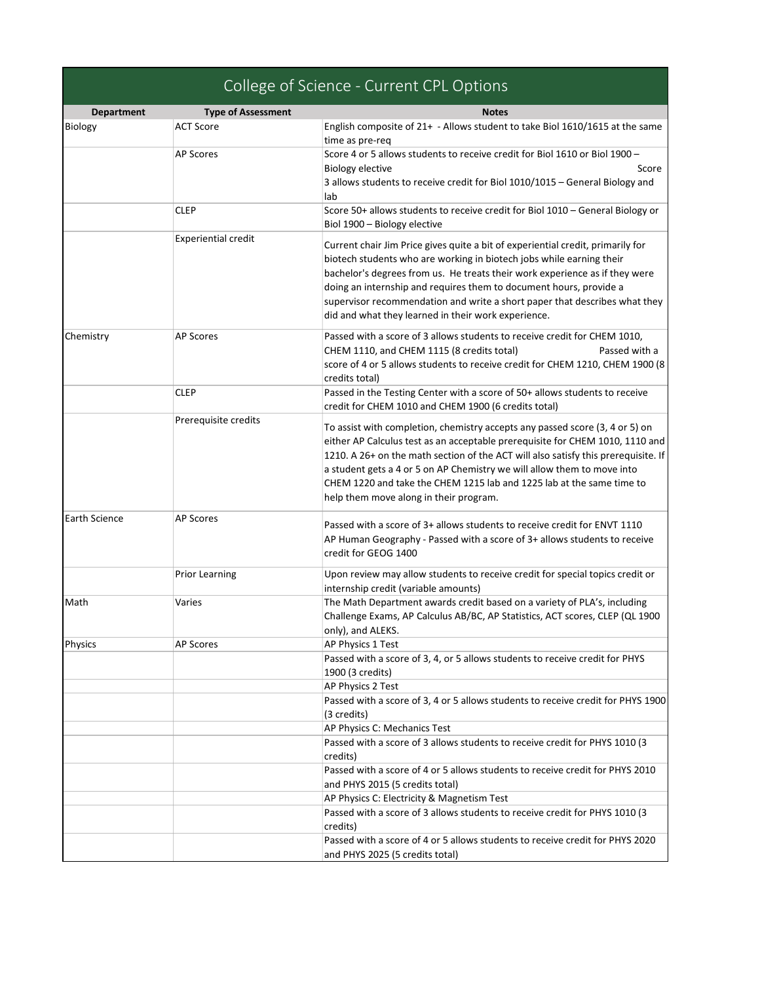| <b>Department</b> | <b>Type of Assessment</b><br><b>ACT Score</b> | <b>Notes</b>                                                                                                                                                  |
|-------------------|-----------------------------------------------|---------------------------------------------------------------------------------------------------------------------------------------------------------------|
| Biology           |                                               | English composite of 21+ - Allows student to take Biol 1610/1615 at the same<br>time as pre-req                                                               |
|                   | <b>AP Scores</b>                              | Score 4 or 5 allows students to receive credit for Biol 1610 or Biol 1900 -                                                                                   |
|                   |                                               | Biology elective<br>Score                                                                                                                                     |
|                   |                                               | 3 allows students to receive credit for Biol 1010/1015 - General Biology and                                                                                  |
|                   |                                               | lab                                                                                                                                                           |
|                   | CLEP                                          | Score 50+ allows students to receive credit for Biol 1010 - General Biology or                                                                                |
|                   |                                               | Biol 1900 - Biology elective                                                                                                                                  |
|                   | <b>Experiential credit</b>                    |                                                                                                                                                               |
|                   |                                               | Current chair Jim Price gives quite a bit of experiential credit, primarily for                                                                               |
|                   |                                               | biotech students who are working in biotech jobs while earning their                                                                                          |
|                   |                                               | bachelor's degrees from us. He treats their work experience as if they were                                                                                   |
|                   |                                               | doing an internship and requires them to document hours, provide a                                                                                            |
|                   |                                               | supervisor recommendation and write a short paper that describes what they                                                                                    |
|                   |                                               | did and what they learned in their work experience.                                                                                                           |
| Chemistry         | <b>AP Scores</b>                              | Passed with a score of 3 allows students to receive credit for CHEM 1010,                                                                                     |
|                   |                                               | CHEM 1110, and CHEM 1115 (8 credits total)<br>Passed with a                                                                                                   |
|                   |                                               | score of 4 or 5 allows students to receive credit for CHEM 1210, CHEM 1900 (8                                                                                 |
|                   |                                               | credits total)                                                                                                                                                |
|                   | <b>CLEP</b>                                   | Passed in the Testing Center with a score of 50+ allows students to receive                                                                                   |
|                   |                                               | credit for CHEM 1010 and CHEM 1900 (6 credits total)                                                                                                          |
|                   | Prerequisite credits                          | To assist with completion, chemistry accepts any passed score (3, 4 or 5) on                                                                                  |
|                   |                                               |                                                                                                                                                               |
|                   |                                               | either AP Calculus test as an acceptable prerequisite for CHEM 1010, 1110 and                                                                                 |
|                   |                                               | 1210. A 26+ on the math section of the ACT will also satisfy this prerequisite. If<br>a student gets a 4 or 5 on AP Chemistry we will allow them to move into |
|                   |                                               | CHEM 1220 and take the CHEM 1215 lab and 1225 lab at the same time to                                                                                         |
|                   |                                               | help them move along in their program.                                                                                                                        |
|                   |                                               |                                                                                                                                                               |
| Earth Science     | <b>AP Scores</b>                              | Passed with a score of 3+ allows students to receive credit for ENVT 1110                                                                                     |
|                   |                                               | AP Human Geography - Passed with a score of 3+ allows students to receive                                                                                     |
|                   |                                               | credit for GEOG 1400                                                                                                                                          |
|                   |                                               |                                                                                                                                                               |
|                   | <b>Prior Learning</b>                         | Upon review may allow students to receive credit for special topics credit or                                                                                 |
|                   |                                               | internship credit (variable amounts)                                                                                                                          |
| Math              | Varies                                        | The Math Department awards credit based on a variety of PLA's, including                                                                                      |
|                   |                                               | Challenge Exams, AP Calculus AB/BC, AP Statistics, ACT scores, CLEP (QL 1900)                                                                                 |
|                   |                                               | only), and ALEKS.                                                                                                                                             |
| Physics           | <b>AP Scores</b>                              | AP Physics 1 Test                                                                                                                                             |
|                   |                                               | Passed with a score of 3, 4, or 5 allows students to receive credit for PHYS                                                                                  |
|                   |                                               | 1900 (3 credits)                                                                                                                                              |
|                   |                                               | AP Physics 2 Test                                                                                                                                             |
|                   |                                               | Passed with a score of 3, 4 or 5 allows students to receive credit for PHYS 1900                                                                              |
|                   |                                               | (3 credits)                                                                                                                                                   |
|                   |                                               | AP Physics C: Mechanics Test                                                                                                                                  |
|                   |                                               | Passed with a score of 3 allows students to receive credit for PHYS 1010 (3                                                                                   |
|                   |                                               | credits)                                                                                                                                                      |
|                   |                                               | Passed with a score of 4 or 5 allows students to receive credit for PHYS 2010                                                                                 |
|                   |                                               | and PHYS 2015 (5 credits total)                                                                                                                               |
|                   |                                               | AP Physics C: Electricity & Magnetism Test                                                                                                                    |
|                   |                                               | Passed with a score of 3 allows students to receive credit for PHYS 1010 (3                                                                                   |
|                   |                                               | credits)<br>Passed with a score of 4 or 5 allows students to receive credit for PHYS 2020                                                                     |
|                   |                                               | and PHYS 2025 (5 credits total)                                                                                                                               |
|                   |                                               |                                                                                                                                                               |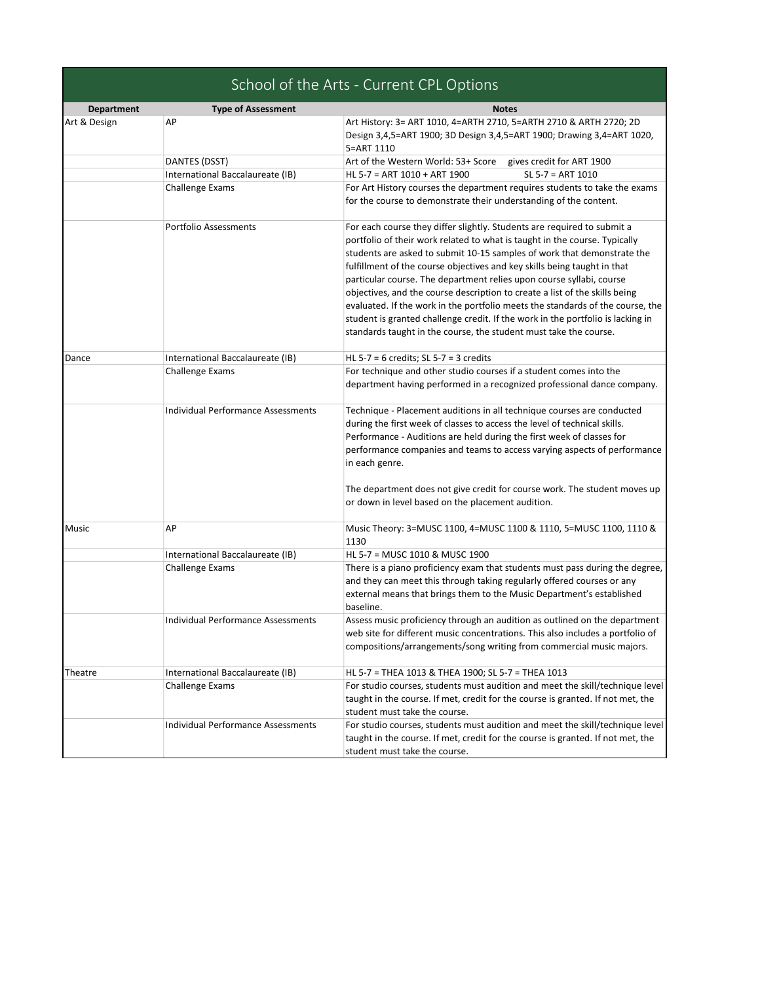|  |  |  |  |  | School of the Arts - Current CPL Options |
|--|--|--|--|--|------------------------------------------|
|--|--|--|--|--|------------------------------------------|

| <b>Department</b> | <b>Type of Assessment</b>                 | <b>Notes</b>                                                                                                                                           |
|-------------------|-------------------------------------------|--------------------------------------------------------------------------------------------------------------------------------------------------------|
| Art & Design      | AP                                        | Art History: 3= ART 1010, 4=ARTH 2710, 5=ARTH 2710 & ARTH 2720; 2D                                                                                     |
|                   |                                           | Design 3,4,5=ART 1900; 3D Design 3,4,5=ART 1900; Drawing 3,4=ART 1020,                                                                                 |
|                   |                                           | 5=ART 1110                                                                                                                                             |
|                   | DANTES (DSST)                             | Art of the Western World: 53+ Score<br>gives credit for ART 1900                                                                                       |
|                   | International Baccalaureate (IB)          | HL 5-7 = ART 1010 + ART 1900<br>$SL 5-7 = ART 1010$                                                                                                    |
|                   | <b>Challenge Exams</b>                    | For Art History courses the department requires students to take the exams                                                                             |
|                   |                                           | for the course to demonstrate their understanding of the content.                                                                                      |
|                   | <b>Portfolio Assessments</b>              | For each course they differ slightly. Students are required to submit a                                                                                |
|                   |                                           | portfolio of their work related to what is taught in the course. Typically                                                                             |
|                   |                                           | students are asked to submit 10-15 samples of work that demonstrate the                                                                                |
|                   |                                           | fulfillment of the course objectives and key skills being taught in that                                                                               |
|                   |                                           | particular course. The department relies upon course syllabi, course                                                                                   |
|                   |                                           | objectives, and the course description to create a list of the skills being                                                                            |
|                   |                                           | evaluated. If the work in the portfolio meets the standards of the course, the                                                                         |
|                   |                                           | student is granted challenge credit. If the work in the portfolio is lacking in                                                                        |
|                   |                                           | standards taught in the course, the student must take the course.                                                                                      |
| Dance             | International Baccalaureate (IB)          | HL 5-7 = 6 credits; SL 5-7 = 3 credits                                                                                                                 |
|                   | <b>Challenge Exams</b>                    | For technique and other studio courses if a student comes into the                                                                                     |
|                   |                                           | department having performed in a recognized professional dance company.                                                                                |
|                   | <b>Individual Performance Assessments</b> | Technique - Placement auditions in all technique courses are conducted                                                                                 |
|                   |                                           | during the first week of classes to access the level of technical skills.                                                                              |
|                   |                                           | Performance - Auditions are held during the first week of classes for                                                                                  |
|                   |                                           | performance companies and teams to access varying aspects of performance                                                                               |
|                   |                                           | in each genre.                                                                                                                                         |
|                   |                                           | The department does not give credit for course work. The student moves up                                                                              |
|                   |                                           | or down in level based on the placement audition.                                                                                                      |
|                   |                                           |                                                                                                                                                        |
| Music             | АP                                        | Music Theory: 3=MUSC 1100, 4=MUSC 1100 & 1110, 5=MUSC 1100, 1110 &                                                                                     |
|                   |                                           | 1130<br>HL 5-7 = MUSC 1010 & MUSC 1900                                                                                                                 |
|                   | International Baccalaureate (IB)          |                                                                                                                                                        |
|                   | <b>Challenge Exams</b>                    | There is a piano proficiency exam that students must pass during the degree,<br>and they can meet this through taking regularly offered courses or any |
|                   |                                           | external means that brings them to the Music Department's established                                                                                  |
|                   |                                           | baseline.                                                                                                                                              |
|                   | <b>Individual Performance Assessments</b> | Assess music proficiency through an audition as outlined on the department                                                                             |
|                   |                                           | web site for different music concentrations. This also includes a portfolio of                                                                         |
|                   |                                           | compositions/arrangements/song writing from commercial music majors.                                                                                   |
|                   |                                           |                                                                                                                                                        |
| Theatre           | International Baccalaureate (IB)          | HL 5-7 = THEA 1013 & THEA 1900; SL 5-7 = THEA 1013                                                                                                     |
|                   | Challenge Exams                           | For studio courses, students must audition and meet the skill/technique level                                                                          |
|                   |                                           | taught in the course. If met, credit for the course is granted. If not met, the                                                                        |
|                   |                                           | student must take the course.                                                                                                                          |
|                   | <b>Individual Performance Assessments</b> | For studio courses, students must audition and meet the skill/technique level                                                                          |
|                   |                                           | taught in the course. If met, credit for the course is granted. If not met, the                                                                        |
|                   |                                           | student must take the course.                                                                                                                          |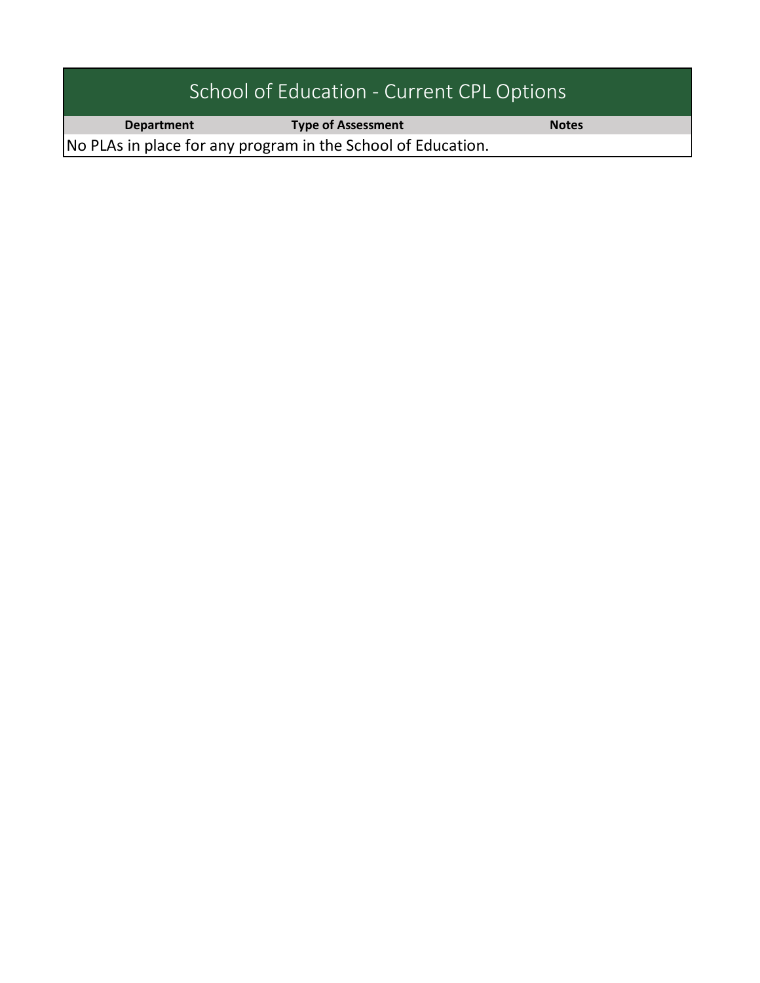| School of Education - Current CPL Options                    |                           |              |  |
|--------------------------------------------------------------|---------------------------|--------------|--|
| <b>Department</b>                                            | <b>Type of Assessment</b> | <b>Notes</b> |  |
| No PLAs in place for any program in the School of Education. |                           |              |  |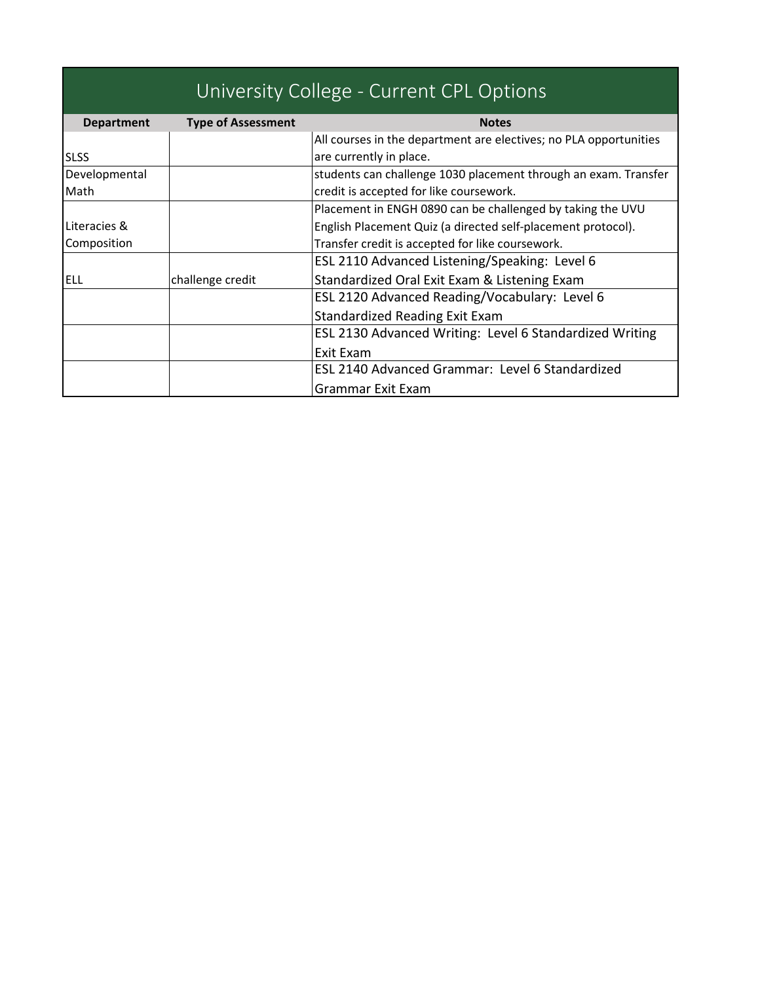| University College - Current CPL Options |                           |                                                                   |  |
|------------------------------------------|---------------------------|-------------------------------------------------------------------|--|
| <b>Department</b>                        | <b>Type of Assessment</b> | <b>Notes</b>                                                      |  |
|                                          |                           | All courses in the department are electives; no PLA opportunities |  |
| <b>SLSS</b>                              |                           | are currently in place.                                           |  |
| Developmental                            |                           | students can challenge 1030 placement through an exam. Transfer   |  |
| Math                                     |                           | credit is accepted for like coursework.                           |  |
|                                          |                           | Placement in ENGH 0890 can be challenged by taking the UVU        |  |
| Literacies &                             |                           | English Placement Quiz (a directed self-placement protocol).      |  |
| Composition                              |                           | Transfer credit is accepted for like coursework.                  |  |
|                                          |                           | ESL 2110 Advanced Listening/Speaking: Level 6                     |  |
| <b>ELL</b>                               | challenge credit          | Standardized Oral Exit Exam & Listening Exam                      |  |
|                                          |                           | ESL 2120 Advanced Reading/Vocabulary: Level 6                     |  |
|                                          |                           | Standardized Reading Exit Exam                                    |  |
|                                          |                           | <b>ESL 2130 Advanced Writing: Level 6 Standardized Writing</b>    |  |
|                                          |                           | Exit Exam                                                         |  |
|                                          |                           | ESL 2140 Advanced Grammar: Level 6 Standardized                   |  |
|                                          |                           | Grammar Exit Exam                                                 |  |